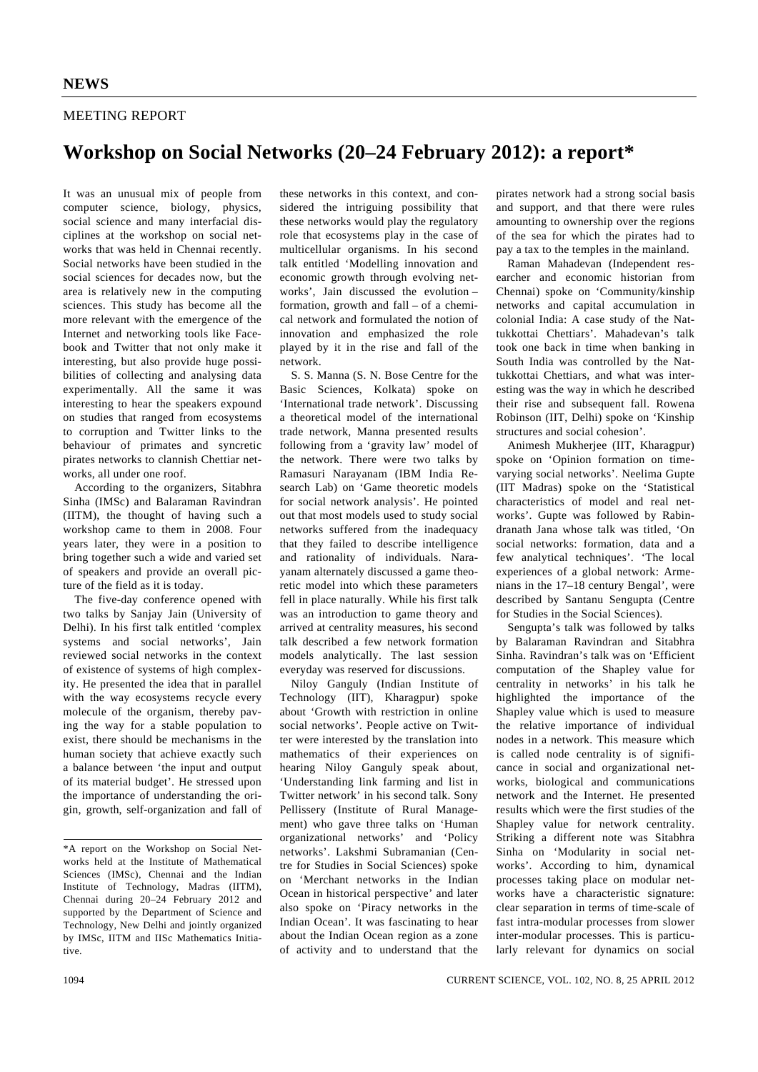### MEETING REPORT

# **Workshop on Social Networks (20–24 February 2012): a report\***

It was an unusual mix of people from computer science, biology, physics, social science and many interfacial disciplines at the workshop on social networks that was held in Chennai recently. Social networks have been studied in the social sciences for decades now, but the area is relatively new in the computing sciences. This study has become all the more relevant with the emergence of the Internet and networking tools like Facebook and Twitter that not only make it interesting, but also provide huge possibilities of collecting and analysing data experimentally. All the same it was interesting to hear the speakers expound on studies that ranged from ecosystems to corruption and Twitter links to the behaviour of primates and syncretic pirates networks to clannish Chettiar networks, all under one roof.

 According to the organizers, Sitabhra Sinha (IMSc) and Balaraman Ravindran (IITM), the thought of having such a workshop came to them in 2008. Four years later, they were in a position to bring together such a wide and varied set of speakers and provide an overall picture of the field as it is today.

 The five-day conference opened with two talks by Sanjay Jain (University of Delhi). In his first talk entitled 'complex systems and social networks', Jain reviewed social networks in the context of existence of systems of high complexity. He presented the idea that in parallel with the way ecosystems recycle every molecule of the organism, thereby paving the way for a stable population to exist, there should be mechanisms in the human society that achieve exactly such a balance between 'the input and output of its material budget'. He stressed upon the importance of understanding the origin, growth, self-organization and fall of

these networks in this context, and considered the intriguing possibility that these networks would play the regulatory role that ecosystems play in the case of multicellular organisms. In his second talk entitled 'Modelling innovation and economic growth through evolving networks', Jain discussed the evolution – formation, growth and fall – of a chemical network and formulated the notion of innovation and emphasized the role played by it in the rise and fall of the network.

 S. S. Manna (S. N. Bose Centre for the Basic Sciences, Kolkata) spoke on 'International trade network'. Discussing a theoretical model of the international trade network, Manna presented results following from a 'gravity law' model of the network. There were two talks by Ramasuri Narayanam (IBM India Research Lab) on 'Game theoretic models for social network analysis'. He pointed out that most models used to study social networks suffered from the inadequacy that they failed to describe intelligence and rationality of individuals. Narayanam alternately discussed a game theoretic model into which these parameters fell in place naturally. While his first talk was an introduction to game theory and arrived at centrality measures, his second talk described a few network formation models analytically. The last session everyday was reserved for discussions.

 Niloy Ganguly (Indian Institute of Technology (IIT), Kharagpur) spoke about 'Growth with restriction in online social networks'. People active on Twitter were interested by the translation into mathematics of their experiences on hearing Niloy Ganguly speak about, 'Understanding link farming and list in Twitter network' in his second talk. Sony Pellissery (Institute of Rural Management) who gave three talks on 'Human organizational networks' and 'Policy networks'. Lakshmi Subramanian (Centre for Studies in Social Sciences) spoke on 'Merchant networks in the Indian Ocean in historical perspective' and later also spoke on 'Piracy networks in the Indian Ocean'. It was fascinating to hear about the Indian Ocean region as a zone of activity and to understand that the pirates network had a strong social basis and support, and that there were rules amounting to ownership over the regions of the sea for which the pirates had to pay a tax to the temples in the mainland.

 Raman Mahadevan (Independent researcher and economic historian from Chennai) spoke on 'Community/kinship networks and capital accumulation in colonial India: A case study of the Nattukkottai Chettiars'. Mahadevan's talk took one back in time when banking in South India was controlled by the Nattukkottai Chettiars, and what was interesting was the way in which he described their rise and subsequent fall. Rowena Robinson (IIT, Delhi) spoke on 'Kinship structures and social cohesion'.

 Animesh Mukherjee (IIT, Kharagpur) spoke on 'Opinion formation on timevarying social networks'. Neelima Gupte (IIT Madras) spoke on the 'Statistical characteristics of model and real networks'. Gupte was followed by Rabindranath Jana whose talk was titled, 'On social networks: formation, data and a few analytical techniques'. 'The local experiences of a global network: Armenians in the 17–18 century Bengal', were described by Santanu Sengupta (Centre for Studies in the Social Sciences).

 Sengupta's talk was followed by talks by Balaraman Ravindran and Sitabhra Sinha. Ravindran's talk was on 'Efficient computation of the Shapley value for centrality in networks' in his talk he highlighted the importance of the Shapley value which is used to measure the relative importance of individual nodes in a network. This measure which is called node centrality is of significance in social and organizational networks, biological and communications network and the Internet. He presented results which were the first studies of the Shapley value for network centrality. Striking a different note was Sitabhra Sinha on 'Modularity in social networks'. According to him, dynamical processes taking place on modular networks have a characteristic signature: clear separation in terms of time-scale of fast intra-modular processes from slower inter-modular processes. This is particularly relevant for dynamics on social

<sup>\*</sup>A report on the Workshop on Social Networks held at the Institute of Mathematical Sciences (IMSc), Chennai and the Indian Institute of Technology, Madras (IITM), Chennai during 20–24 February 2012 and supported by the Department of Science and Technology, New Delhi and jointly organized by IMSc, IITM and IISc Mathematics Initiative.